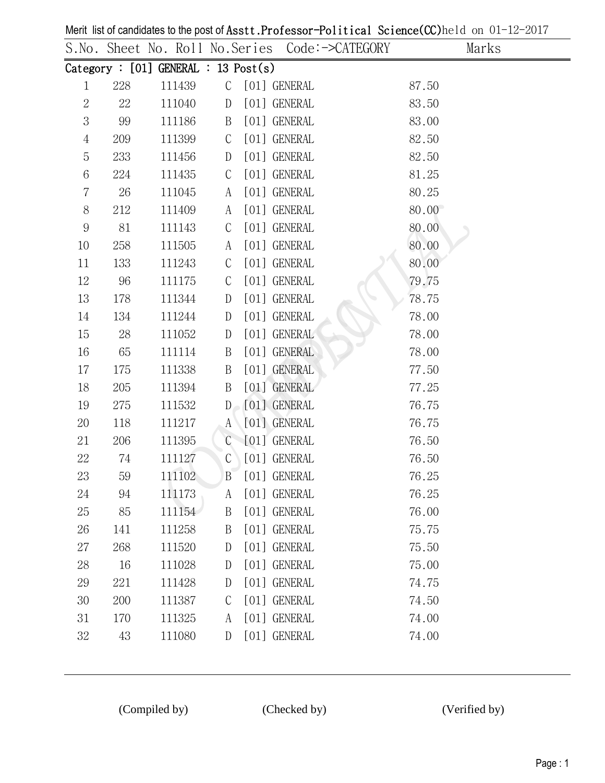|                  |     |                                        |               | S.No. Sheet No. Roll No.Series Code:->CATEGORY | Marks |
|------------------|-----|----------------------------------------|---------------|------------------------------------------------|-------|
|                  |     | Category : $[01]$ GENERAL : 13 Post(s) |               |                                                |       |
| $\mathbf{1}$     | 228 | 111439                                 |               | C [01] GENERAL                                 | 87.50 |
| $\sqrt{2}$       | 22  | 111040                                 | D             | [01] GENERAL                                   | 83.50 |
| 3                | 99  | 111186                                 | $\mathbf{B}$  | [01] GENERAL                                   | 83.00 |
| $\overline{4}$   | 209 | 111399                                 | $\mathsf{C}$  | [01] GENERAL                                   | 82.50 |
| 5                | 233 | 111456                                 | D             | [01] GENERAL                                   | 82.50 |
| 6                | 224 | 111435                                 | $\mathsf{C}$  | [01] GENERAL                                   | 81.25 |
| $\overline{7}$   | 26  | 111045                                 | A             | [01] GENERAL                                   | 80.25 |
| $8\,$            | 212 | 111409                                 | A             | [01] GENERAL                                   | 80.00 |
| $\boldsymbol{9}$ | 81  | 111143                                 | $\mathsf C$   | [01] GENERAL                                   | 80.00 |
| $10\,$           | 258 | 111505                                 | A             | [01] GENERAL                                   | 80.00 |
| $11\,$           | 133 | 111243                                 | $\mathsf C$   | [01] GENERAL                                   | 80.00 |
| 12               | 96  | 111175                                 | $\mathsf C$   | [01] GENERAL                                   | 79.75 |
| 13               | 178 | 111344                                 | D             | [01] GENERAL                                   | 78.75 |
| 14               | 134 | 111244                                 | D             | [01] GENERAL                                   | 78.00 |
| $15\,$           | 28  | 111052                                 | D             | [01] GENERAL                                   | 78.00 |
| 16               | 65  | 111114                                 | B             | [01] GENERAL                                   | 78.00 |
| 17               | 175 | 111338                                 | B             | [01] GENERAL                                   | 77.50 |
| 18               | 205 | 111394                                 | $\mathbf{B}$  | [01] GENERAL                                   | 77.25 |
| 19               | 275 | 111532                                 | $D_{\odot}$   | [01] GENERAL                                   | 76.75 |
| 20               | 118 | 111217                                 | $A^{\dagger}$ | [01] GENERAL                                   | 76.75 |
| 21               | 206 | 111395                                 |               | C [01] GENERAL                                 | 76.50 |
| $22\,$           | 74  | 111127                                 | $\mathcal{C}$ | [01] GENERAL                                   | 76.50 |
| 23               | 59  | 111102                                 |               | B [01] GENERAL                                 | 76.25 |
| 24               | 94  | 111173                                 | A             | [01] GENERAL                                   | 76.25 |
| 25               | 85  | 111154                                 | B             | [01] GENERAL                                   | 76.00 |
| 26               | 141 | 111258                                 | B             | [01] GENERAL                                   | 75.75 |
| 27               | 268 | 111520                                 | D             | [01] GENERAL                                   | 75.50 |
| 28               | 16  | 111028                                 | $\mathbb{D}$  | [01] GENERAL                                   | 75.00 |
| 29               | 221 | 111428                                 | D             | [01] GENERAL                                   | 74.75 |
| 30               | 200 | 111387                                 | $\mathsf{C}$  | [01] GENERAL                                   | 74.50 |
| 31               | 170 | 111325                                 | A             | [01] GENERAL                                   | 74.00 |
| $32\,$           | 43  | 111080                                 | D             | [01] GENERAL                                   | 74.00 |

Merit list of candidates to the post of Asstt.Professor-Political Science(CC)held on 01-12-2017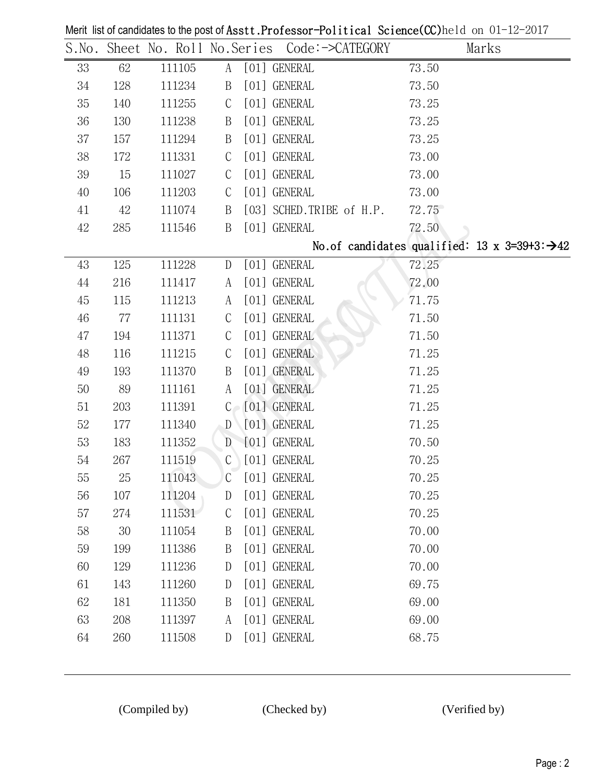|        |     |        |              | S.No. Sheet No. Roll No.Series Code:->CATEGORY | Marks                                                     |
|--------|-----|--------|--------------|------------------------------------------------|-----------------------------------------------------------|
| 33     | 62  | 111105 | A            | [01] GENERAL                                   | 73.50                                                     |
| $34\,$ | 128 | 111234 | B            | [01] GENERAL                                   | 73.50                                                     |
| $35\,$ | 140 | 111255 | C            | [01] GENERAL                                   | 73.25                                                     |
| $36\,$ | 130 | 111238 | B            | [01] GENERAL                                   | 73.25                                                     |
| 37     | 157 | 111294 | B            | [01] GENERAL                                   | 73.25                                                     |
| 38     | 172 | 111331 | C            | [01] GENERAL                                   | 73.00                                                     |
| $39\,$ | 15  | 111027 | C            | [01] GENERAL                                   | 73.00                                                     |
| 40     | 106 | 111203 | $\mathsf{C}$ | [01] GENERAL                                   | 73.00                                                     |
| 41     | 42  | 111074 | B            | [03] SCHED.TRIBE of H.P.                       | 72.75                                                     |
| 42     | 285 | 111546 | B            | [01] GENERAL                                   | 72.50                                                     |
|        |     |        |              |                                                | No.of candidates qualified: 13 x 3=39+3: $\rightarrow$ 42 |
| 43     | 125 | 111228 | D            | [01] GENERAL                                   | 72.25                                                     |
| 44     | 216 | 111417 | A            | [01] GENERAL                                   | 72.00                                                     |
| 45     | 115 | 111213 | A            | [01] GENERAL                                   | 71.75                                                     |
| 46     | 77  | 111131 | $\mathsf{C}$ | [01] GENERAL                                   | 71.50                                                     |
| 47     | 194 | 111371 | $\mathsf C$  | [01] GENERAL                                   | 71.50                                                     |
| 48     | 116 | 111215 | C            | [01] GENERAL                                   | 71.25                                                     |
| 49     | 193 | 111370 | B            | [01] GENERAL                                   | 71.25                                                     |
| 50     | 89  | 111161 | A            | [01] GENERAL                                   | 71.25                                                     |
| 51     | 203 | 111391 |              | $C \cap [01]$ GENERAL                          | 71.25                                                     |
| 52     | 177 | 111340 | D            | [01] GENERAL                                   | 71.25                                                     |
| 53     | 183 | 111352 | D            | [01] GENERAL                                   | 70.50                                                     |
| 54     | 267 | 111519 | $\mathsf{C}$ | [01] GENERAL                                   | 70.25                                                     |
| 55     | 25  | 111043 | $\mathsf{C}$ | [01] GENERAL                                   | 70.25                                                     |
| 56     | 107 | 111204 | D            | [01] GENERAL                                   | 70.25                                                     |
| 57     | 274 | 111531 | C            | [01] GENERAL                                   | 70.25                                                     |
| 58     | 30  | 111054 | B            | [01] GENERAL                                   | 70.00                                                     |
| 59     | 199 | 111386 | B            | [01] GENERAL                                   | 70.00                                                     |
| 60     | 129 | 111236 | D            | [01] GENERAL                                   | 70.00                                                     |
| 61     | 143 | 111260 | D            | [01] GENERAL                                   | 69.75                                                     |
| $62\,$ | 181 | 111350 | B            | [01] GENERAL                                   | 69.00                                                     |
| 63     | 208 | 111397 | A            | [01] GENERAL                                   | 69.00                                                     |
| 64     | 260 | 111508 | $\mathbf{D}$ | [01] GENERAL                                   | 68.75                                                     |

Merit list of candidates to the post of Asstt.Professor-Political Science(CC)held on 01-12-2017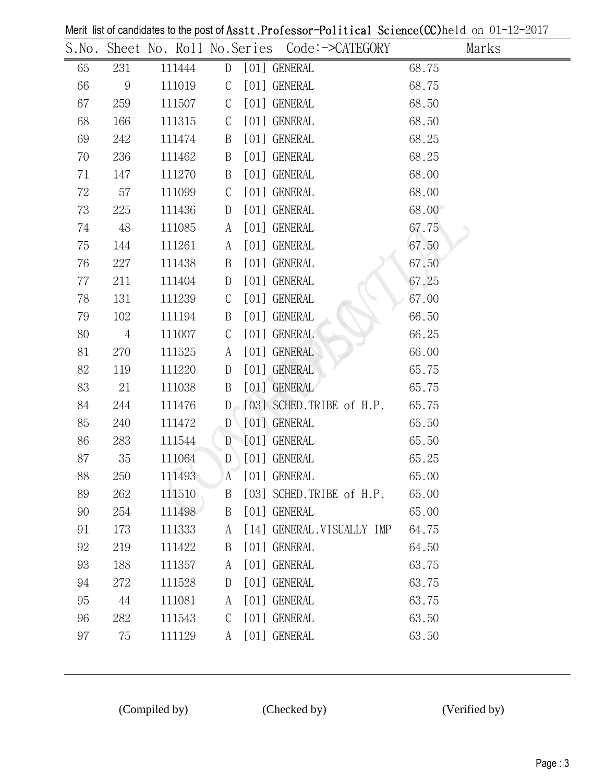|    |                |        |               | S.No. Sheet No. Roll No.Series Code:->CATEGORY | Marks |
|----|----------------|--------|---------------|------------------------------------------------|-------|
| 65 | 231            | 111444 | D             | [01] GENERAL                                   | 68.75 |
| 66 | 9              | 111019 | $\mathcal{C}$ | [01] GENERAL                                   | 68.75 |
| 67 | 259            | 111507 | $\mathcal{C}$ | [01] GENERAL                                   | 68.50 |
| 68 | 166            | 111315 | $\mathsf{C}$  | [01] GENERAL                                   | 68.50 |
| 69 | 242            | 111474 | B             | [01] GENERAL                                   | 68.25 |
| 70 | 236            | 111462 | B             | [01] GENERAL                                   | 68.25 |
| 71 | 147            | 111270 | B             | [01] GENERAL                                   | 68.00 |
| 72 | 57             | 111099 | $\mathcal{C}$ | [01] GENERAL                                   | 68.00 |
| 73 | 225            | 111436 | D             | [01] GENERAL                                   | 68.00 |
| 74 | 48             | 111085 | A             | [01] GENERAL                                   | 67.75 |
| 75 | 144            | 111261 | A             | [01] GENERAL                                   | 67.50 |
| 76 | 227            | 111438 | B             | [01] GENERAL                                   | 67.50 |
| 77 | 211            | 111404 | D             | [01] GENERAL                                   | 67.25 |
| 78 | 131            | 111239 | $\mathcal{C}$ | [01] GENERAL                                   | 67.00 |
| 79 | 102            | 111194 | B             | [01] GENERAL                                   | 66.50 |
| 80 | $\overline{4}$ | 111007 | $\mathsf{C}$  | [01] GENERAL                                   | 66.25 |
| 81 | 270            | 111525 | A             | [01] GENERAL                                   | 66.00 |
| 82 | 119            | 111220 | D             | [01] GENERAL                                   | 65.75 |
| 83 | 21             | 111038 | B             | [01] GENERAL                                   | 65.75 |
| 84 | 244            | 111476 |               | $D_{\odot}$ [03] SCHED.TRIBE of H.P.           | 65.75 |
| 85 | 240            | 111472 | D             | [01] GENERAL                                   | 65.50 |
| 86 | 283            | 111544 | D             | [01] GENERAL                                   | 65.50 |
| 87 | 35             | 111064 | D             | [01] GENERAL                                   | 65.25 |
| 88 | 250            | 111493 | A             | [01] GENERAL                                   | 65.00 |
| 89 | 262            | 111510 | B             | [03] SCHED.TRIBE of H.P.                       | 65.00 |
| 90 | 254            | 111498 | B             | [01] GENERAL                                   | 65.00 |
| 91 | 173            | 111333 | A             | [14] GENERAL. VISUALLY IMP                     | 64.75 |
| 92 | 219            | 111422 | B             | [01] GENERAL                                   | 64.50 |
| 93 | 188            | 111357 | A             | [01] GENERAL                                   | 63.75 |
| 94 | 272            | 111528 | $\mathbf{D}$  | [01] GENERAL                                   | 63.75 |
| 95 | 44             | 111081 | A             | [01] GENERAL                                   | 63.75 |
| 96 | 282            | 111543 | $\mathcal{C}$ | [01] GENERAL                                   | 63.50 |
| 97 | 75             | 111129 | A             | [01] GENERAL                                   | 63.50 |

Merit list of candidates to the post of Asstt.Professor-Political Science(CC)held on 01-12-2017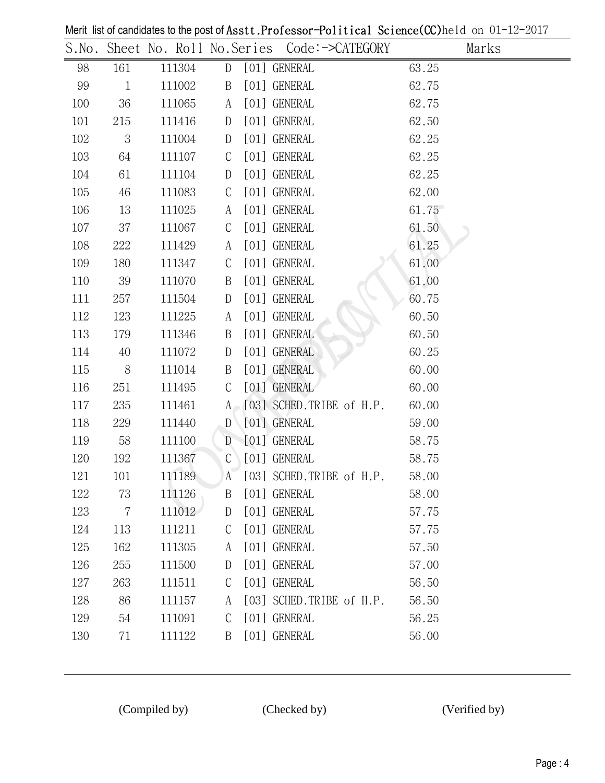|     |                |        |                  | S.No. Sheet No. Roll No.Series Code:->CATEGORY | Marks |
|-----|----------------|--------|------------------|------------------------------------------------|-------|
| 98  | 161            | 111304 | D                | [01] GENERAL                                   | 63.25 |
| 99  | $\mathbf{1}$   | 111002 | $\boldsymbol{B}$ | [01] GENERAL                                   | 62.75 |
| 100 | 36             | 111065 | A                | [01] GENERAL                                   | 62.75 |
| 101 | 215            | 111416 | D                | [01] GENERAL                                   | 62.50 |
| 102 | 3              | 111004 | D                | [01] GENERAL                                   | 62.25 |
| 103 | 64             | 111107 | $\mathcal{C}$    | [01] GENERAL                                   | 62.25 |
| 104 | 61             | 111104 | D                | [01] GENERAL                                   | 62.25 |
| 105 | 46             | 111083 | $\mathcal{C}$    | [01] GENERAL                                   | 62.00 |
| 106 | 13             | 111025 | A                | [01] GENERAL                                   | 61.75 |
| 107 | 37             | 111067 | $\mathsf{C}$     | [01] GENERAL                                   | 61.50 |
| 108 | 222            | 111429 | A                | [01] GENERAL                                   | 61.25 |
| 109 | 180            | 111347 | $\mathsf{C}$     | [01] GENERAL                                   | 61.00 |
| 110 | 39             | 111070 | B                | [01] GENERAL                                   | 61.00 |
| 111 | 257            | 111504 | D                | [01] GENERAL                                   | 60.75 |
| 112 | 123            | 111225 | A                | [01] GENERAL                                   | 60.50 |
| 113 | 179            | 111346 | B                | [01] GENERAL                                   | 60.50 |
| 114 | 40             | 111072 | D                | [01] GENERAL                                   | 60.25 |
| 115 | 8 <sup>8</sup> | 111014 | B                | [01] GENERAL                                   | 60.00 |
| 116 | 251            | 111495 | $\mathsf{C}$     | [01] GENERAL                                   | 60.00 |
| 117 | 235            | 111461 |                  | $A \cap [03]$ SCHED. TRIBE of H.P.             | 60.00 |
| 118 | 229            | 111440 | $\mathbb{D}$     | [01] GENERAL                                   | 59.00 |
| 119 | 58             | 111100 | D                | [01] GENERAL                                   | 58.75 |
| 120 | 192            | 111367 | $\mathcal{C}$    | [01] GENERAL                                   | 58.75 |
| 121 | 101            | 111189 | A                | [03] SCHED.TRIBE of H.P.                       | 58.00 |
| 122 | 73             | 111126 | B                | [01] GENERAL                                   | 58.00 |
| 123 | $\overline{7}$ | 111012 | $\mathbf{D}$     | [01] GENERAL                                   | 57.75 |
| 124 | 113            | 111211 | $\mathsf{C}$     | [01] GENERAL                                   | 57.75 |
| 125 | 162            | 111305 | A                | [01] GENERAL                                   | 57.50 |
| 126 | 255            | 111500 | $\mathbf{D}$     | [01] GENERAL                                   | 57.00 |
| 127 | 263            | 111511 | $\mathcal{C}$    | [01] GENERAL                                   | 56.50 |
| 128 | 86             | 111157 | A                | [03] SCHED.TRIBE of H.P.                       | 56.50 |
| 129 | 54             | 111091 | $\mathcal{C}$    | [01] GENERAL                                   | 56.25 |
| 130 | 71             | 111122 | B                | [01] GENERAL                                   | 56.00 |

Merit list of candidates to the post of Asstt.Professor-Political Science(CC)held on 01-12-2017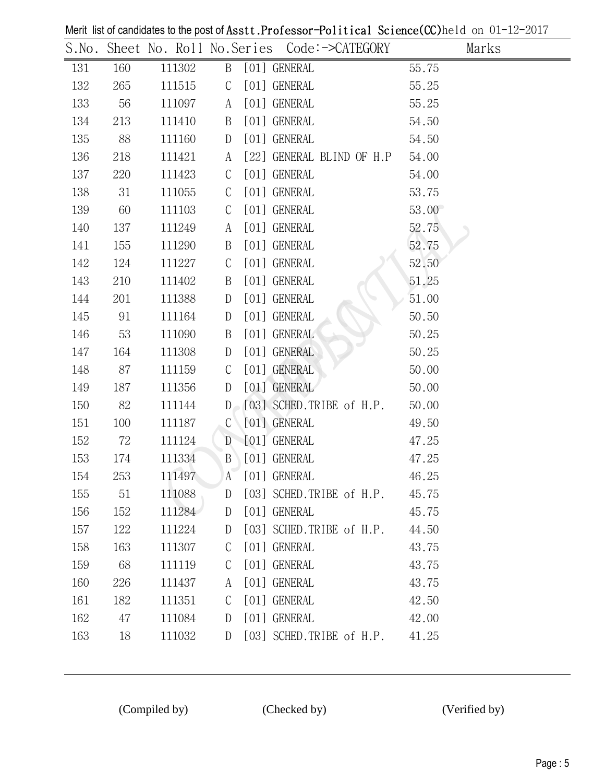|     |     |        |               |                                     | Marks |
|-----|-----|--------|---------------|-------------------------------------|-------|
| 131 | 160 | 111302 | B             | [01] GENERAL                        | 55.75 |
| 132 | 265 | 111515 | $\mathsf{C}$  | [01] GENERAL                        | 55.25 |
| 133 | 56  | 111097 | A             | [01] GENERAL                        | 55.25 |
| 134 | 213 | 111410 | B             | [01] GENERAL                        | 54.50 |
| 135 | 88  | 111160 | $\mathbb{D}$  | [01] GENERAL                        | 54.50 |
| 136 | 218 | 111421 | A             | [22] GENERAL BLIND OF H.P           | 54.00 |
| 137 | 220 | 111423 | $\mathcal{C}$ | [01] GENERAL                        | 54.00 |
| 138 | 31  | 111055 | $\mathcal{C}$ | [01] GENERAL                        | 53.75 |
| 139 | 60  | 111103 | $\mathsf{C}$  | [01] GENERAL                        | 53.00 |
| 140 | 137 | 111249 | A             | [01] GENERAL                        | 52.75 |
| 141 | 155 | 111290 | B             | [01] GENERAL                        | 52.75 |
| 142 | 124 | 111227 | $\mathcal{C}$ | [01] GENERAL                        | 52.50 |
| 143 | 210 | 111402 | B             | [01] GENERAL                        | 51.25 |
| 144 | 201 | 111388 | D             | [01] GENERAL                        | 51.00 |
| 145 | 91  | 111164 | D             | [01] GENERAL                        | 50.50 |
| 146 | 53  | 111090 | B             | [01] GENERAL                        | 50.25 |
| 147 | 164 | 111308 | D             | [01] GENERAL                        | 50.25 |
| 148 | 87  | 111159 | $\mathsf{C}$  | [01] GENERAL                        | 50.00 |
| 149 | 187 | 111356 | $\mathbb{D}$  | [01] GENERAL                        | 50.00 |
| 150 | 82  | 111144 | D             | [03] SCHED.TRIBE of H.P.            | 50.00 |
| 151 | 100 | 111187 | $\mathcal{C}$ | [01] GENERAL                        | 49.50 |
| 152 | 72  | 111124 | D             | [01] GENERAL                        | 47.25 |
| 153 | 174 | 111334 | B             | [01] GENERAL                        | 47.25 |
| 154 | 253 | 111497 | $\mathbf{A}$  | [01] GENERAL                        | 46.25 |
| 155 | 51  | 111088 | D             | $[03]$ SCHED.TRIBE of H.P. $45.75$  |       |
| 156 | 152 | 111284 | D             | [01] GENERAL                        | 45.75 |
| 157 | 122 | 111224 | D             | $[03]$ SCHED.TRIBE of H.P. $44.50$  |       |
| 158 | 163 | 111307 | $\mathcal{C}$ | [01] GENERAL                        | 43.75 |
| 159 | 68  | 111119 | $\mathcal{C}$ | [01] GENERAL                        | 43.75 |
| 160 | 226 | 111437 | A             | [01] GENERAL                        | 43.75 |
| 161 | 182 | 111351 | $\mathsf{C}$  | [01] GENERAL                        | 42.50 |
| 162 | 47  | 111084 | D             | [01] GENERAL                        | 42.00 |
| 163 | 18  | 111032 | D             | $[03]$ SCHED. TRIBE of H.P. $41.25$ |       |

Merit list of candidates to the post of Asstt.Professor-Political Science(CC)held on 01-12-2017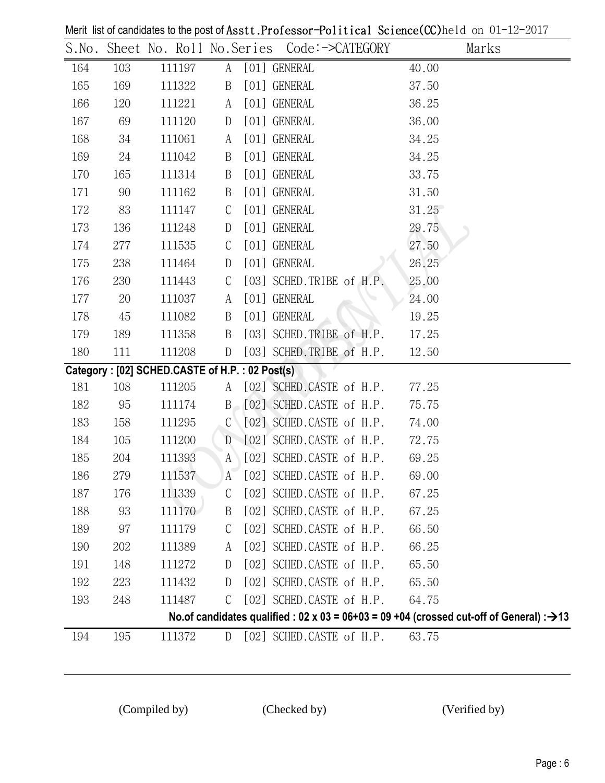|     |     |                                                |                  | S.No. Sheet No. Roll No.Series Code:->CATEGORY | Marks                                                                                                 |
|-----|-----|------------------------------------------------|------------------|------------------------------------------------|-------------------------------------------------------------------------------------------------------|
| 164 | 103 | 111197                                         |                  | A [01] GENERAL                                 | 40.00                                                                                                 |
| 165 | 169 | 111322                                         | $\boldsymbol{B}$ | [01] GENERAL                                   | 37.50                                                                                                 |
| 166 | 120 | 111221                                         | A                | [01] GENERAL                                   | 36.25                                                                                                 |
| 167 | 69  | 111120                                         | $\mathbb{D}$     | [01] GENERAL                                   | 36.00                                                                                                 |
| 168 | 34  | 111061                                         | A                | [01] GENERAL                                   | 34.25                                                                                                 |
| 169 | 24  | 111042                                         | $\boldsymbol{B}$ | [01] GENERAL                                   | 34.25                                                                                                 |
| 170 | 165 | 111314                                         | B                | [01] GENERAL                                   | 33.75                                                                                                 |
| 171 | 90  | 111162                                         | $\boldsymbol{B}$ | [01] GENERAL                                   | 31.50                                                                                                 |
| 172 | 83  | 111147                                         | $\mathsf{C}$     | [01] GENERAL                                   | 31.25                                                                                                 |
| 173 | 136 | 111248                                         | $\mathbb{D}$     | [01] GENERAL                                   | 29.75                                                                                                 |
| 174 | 277 | 111535                                         | $\mathcal{C}$    | [01] GENERAL                                   | 27.50                                                                                                 |
| 175 | 238 | 111464                                         | $\mathbb{D}$     | [01] GENERAL                                   | 26.25                                                                                                 |
| 176 | 230 | 111443                                         | $\mathsf{C}$     | [03] SCHED.TRIBE of H.P.                       | 25.00                                                                                                 |
| 177 | 20  | 111037                                         | A                | [01] GENERAL                                   | 24.00                                                                                                 |
| 178 | 45  | 111082                                         | B                | [01] GENERAL                                   | 19.25                                                                                                 |
| 179 | 189 | 111358                                         | B                | [03] SCHED.TRIBE of H.P.                       | 17.25                                                                                                 |
| 180 | 111 | 111208                                         | D                | [03] SCHED.TRIBE of H.P.                       | 12.50                                                                                                 |
|     |     | Category: [02] SCHED.CASTE of H.P.: 02 Post(s) |                  |                                                |                                                                                                       |
| 181 | 108 | 111205                                         | A                | [02] SCHED.CASTE of H.P.                       | 77.25                                                                                                 |
| 182 | 95  | 111174                                         |                  | $B \setminus [02]$ SCHED.CASTE of H.P.         | 75.75                                                                                                 |
| 183 | 158 | 111295                                         | $\mathcal{C}$    | $[02]$ SCHED.CASTE of H.P.                     | 74.00                                                                                                 |
| 184 | 105 | 111200                                         |                  | D [02] SCHED.CASTE of H.P.                     | 72.75                                                                                                 |
| 185 | 204 | 111393                                         | A                | [02] SCHED.CASTE of H.P.                       | 69.25                                                                                                 |
| 186 | 279 | 111537                                         |                  | A [02] SCHED.CASTE of H.P.                     | 69.00                                                                                                 |
| 187 | 176 | 111339                                         | C                | [02] SCHED.CASTE of H.P.                       | 67.25                                                                                                 |
| 188 | 93  | 111170                                         | B                | [02] SCHED.CASTE of H.P.                       | 67.25                                                                                                 |
| 189 | 97  | 111179                                         | C                | [02] SCHED.CASTE of H.P.                       | 66.50                                                                                                 |
| 190 | 202 | 111389                                         | A                | [02] SCHED.CASTE of H.P.                       | 66.25                                                                                                 |
| 191 | 148 | 111272                                         | $\mathbf{D}$     | [02] SCHED.CASTE of H.P.                       | 65.50                                                                                                 |
| 192 | 223 | 111432                                         | D                | [02] SCHED.CASTE of H.P.                       | 65.50                                                                                                 |
| 193 | 248 | 111487                                         | C                | [02] SCHED.CASTE of H.P.                       | 64.75                                                                                                 |
|     |     |                                                |                  |                                                | No.of candidates qualified : 02 x 03 = 06+03 = 09 +04 (crossed cut-off of General) : $\rightarrow$ 13 |
| 194 | 195 | 111372                                         | D                | [02] SCHED.CASTE of H.P.                       | 63.75                                                                                                 |
|     |     |                                                |                  |                                                |                                                                                                       |

Merit list of candidates to the post of Asstt.Professor-Political Science(CC)held on 01-12-2017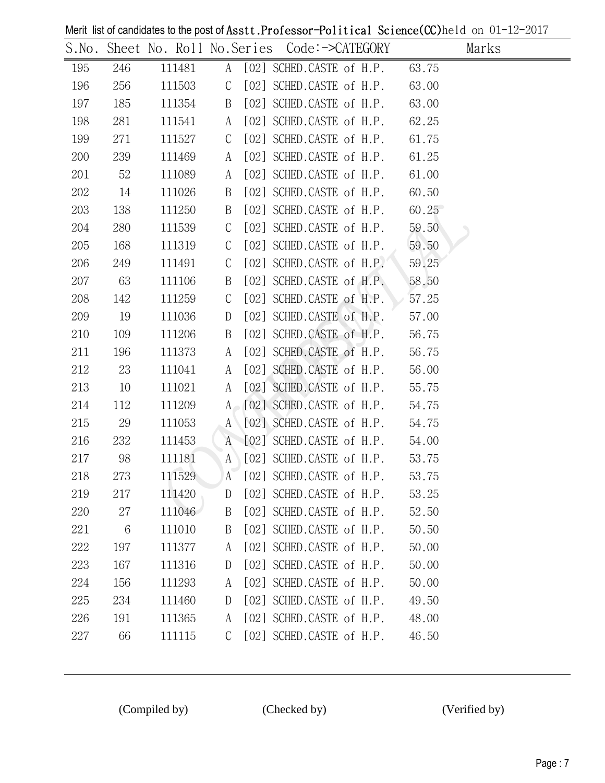Merit list of candidates to the post of Asst t. Professor-Political Science  $(CCD)$ held on 01-12-2017

|     |                 |        |               |                                                 | $m$ on the condition of $\omega$ and $m$ and $m$ and $n$ is set the contract of the condition of $\omega$ and $\omega$ and $m$ |
|-----|-----------------|--------|---------------|-------------------------------------------------|--------------------------------------------------------------------------------------------------------------------------------|
|     |                 |        |               | S.No. Sheet No. Roll No.Series Code:->CATEGORY  | Marks                                                                                                                          |
| 195 | 246             | 111481 |               | A [02] SCHED.CASTE of H.P. 63.75                |                                                                                                                                |
| 196 | 256             | 111503 | $\mathcal{C}$ | $[02]$ SCHED.CASTE of H.P. $63.00$              |                                                                                                                                |
| 197 | 185             | 111354 | B             | [02] SCHED.CASTE of H.P.                        | 63.00                                                                                                                          |
| 198 | 281             | 111541 | A             | $[02]$ SCHED.CASTE of H.P. $62.25$              |                                                                                                                                |
| 199 | 271             | 111527 | $\mathcal{C}$ | $[02]$ SCHED.CASTE of H.P. $61.75$              |                                                                                                                                |
| 200 | 239             | 111469 | A             | $[02]$ SCHED.CASTE of H.P. $61.25$              |                                                                                                                                |
| 201 | 52              | 111089 | A             | [02] SCHED.CASTE of H.P.                        | 61.00                                                                                                                          |
| 202 | 14              | 111026 | B             | $[02]$ SCHED.CASTE of H.P. $60.50$              |                                                                                                                                |
| 203 | 138             | 111250 | B             | [02] SCHED.CASTE of H.P.                        | 60.25                                                                                                                          |
| 204 | 280             | 111539 | $\mathsf{C}$  | [02] SCHED.CASTE of H.P. $59.50$                |                                                                                                                                |
| 205 | 168             | 111319 | $\mathsf{C}$  | [02] SCHED.CASTE of H.P.                        | 59.50                                                                                                                          |
| 206 | 249             | 111491 | $\mathcal{C}$ | $[02]$ SCHED.CASTE of H.P. 59.25                |                                                                                                                                |
| 207 | 63              | 111106 | B             | [02] SCHED.CASTE of H.P. $58.50$                |                                                                                                                                |
| 208 | 142             | 111259 | $\mathsf{C}$  | [02] SCHED.CASTE of H.P. $\triangleright$ 57.25 |                                                                                                                                |
| 209 | 19              | 111036 | D             | [02] SCHED.CASTE of H.P.                        | 57.00                                                                                                                          |
| 210 | 109             | 111206 | B             | $[02]$ SCHED. CASTE of H.P. $56.75$             |                                                                                                                                |
| 211 | 196             | 111373 | A             | [02] SCHED CASTE of H.P.                        | 56.75                                                                                                                          |
| 212 | 23              | 111041 | A             | $[02]$ SCHED. CASTE of H.P. $56.00$             |                                                                                                                                |
| 213 | 10              | 111021 | A             | $[02]$ SCHED.CASTE of H.P. $55.75$              |                                                                                                                                |
| 214 | 112             | 111209 |               | $A \setminus [02]$ SCHED.CASTE of H.P. 54.75    |                                                                                                                                |
| 215 | 29              | 111053 | $A^{\dagger}$ | $[02]$ SCHED.CASTE of H.P. $54.75$              |                                                                                                                                |
| 216 | 232             | 111453 |               | A [02] SCHED.CASTE of H.P. 54.00                |                                                                                                                                |
| 217 | 98              | 111181 | A             | $[02]$ SCHED.CASTE of H.P. $53.75$              |                                                                                                                                |
| 218 | 273             | 111529 |               | $A$ $[02]$ SCHED.CASTE of H.P. $53.75$          |                                                                                                                                |
| 219 | 217             | 111420 | D             | [02] SCHED.CASTE of H.P.                        | 53.25                                                                                                                          |
| 220 | 27              | 111046 | B             | [02] SCHED.CASTE of H.P.                        | 52.50                                                                                                                          |
| 221 | $6\phantom{.}6$ | 111010 | B             | [02] SCHED.CASTE of H.P.                        | 50.50                                                                                                                          |
| 222 | 197             | 111377 | A             | [02] SCHED.CASTE of H.P.                        | 50.00                                                                                                                          |
| 223 | 167             | 111316 | D             | [02] SCHED.CASTE of H.P.                        | 50.00                                                                                                                          |
| 224 | 156             | 111293 | A             | [02] SCHED.CASTE of H.P.                        | 50.00                                                                                                                          |
| 225 | 234             | 111460 | D             | [02] SCHED.CASTE of H.P.                        | 49.50                                                                                                                          |
| 226 | 191             | 111365 | A             | [02] SCHED.CASTE of H.P.                        | 48.00                                                                                                                          |
| 227 | 66              | 111115 | C             | [02] SCHED.CASTE of H.P.                        | 46.50                                                                                                                          |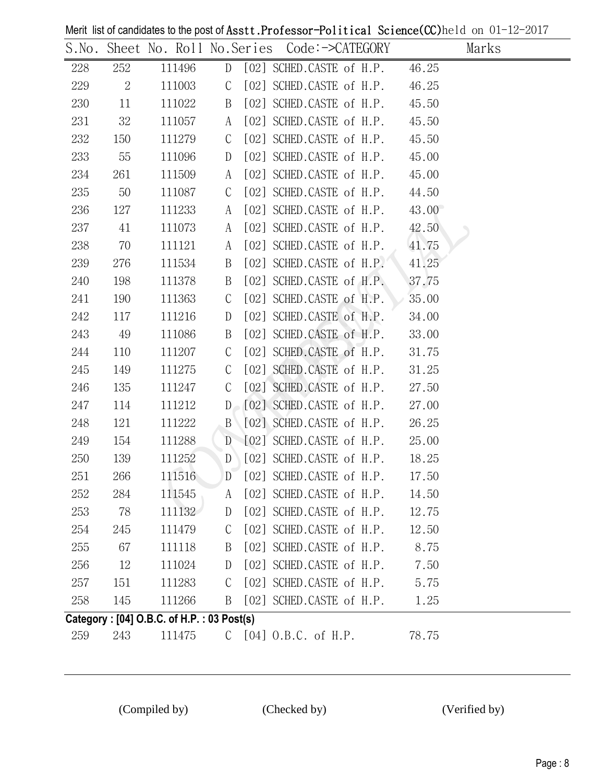Merit list of candidates to the post of Asstt.Professor-Political Science(CC)held on 01-12-2017

|        |         |                                           |               |                                                                  | $\frac{1}{2}$ and $\frac{1}{2}$ are $\frac{1}{2}$ and $\frac{1}{2}$ are post of Hobbert LOLODOOL TOILETOMIC OCCIDIOC(OC)HOTG OF $\frac{1}{2}$ |
|--------|---------|-------------------------------------------|---------------|------------------------------------------------------------------|-----------------------------------------------------------------------------------------------------------------------------------------------|
|        |         |                                           |               | S.No. Sheet No. Roll No.Series Code:->CATEGORY Marks             |                                                                                                                                               |
|        | 228 252 |                                           |               | 111496 D [02] SCHED.CASTE of H.P. 46.25                          |                                                                                                                                               |
|        | 229 2   | 111003                                    |               | C $[02]$ SCHED.CASTE of H.P. $46.25$                             |                                                                                                                                               |
| 230 11 |         |                                           |               | 111022 B [02] SCHED.CASTE of H.P. 45.50                          |                                                                                                                                               |
|        | 231 32  | 111057                                    |               | A [02] SCHED.CASTE of H.P. 45.50                                 |                                                                                                                                               |
| 232    | 150     | 111279                                    | $\mathcal{C}$ | $[02]$ SCHED.CASTE of H.P. $45.50$                               |                                                                                                                                               |
| 233    | 55      | 111096                                    | D             | $[02]$ SCHED.CASTE of H.P. $45.00$                               |                                                                                                                                               |
| 234    | 261     | 111509                                    |               | A [02] SCHED.CASTE of H.P. 45.00                                 |                                                                                                                                               |
| 235    | 50      | 111087                                    | $\mathcal{C}$ | [02] SCHED.CASTE of H.P. 44.50                                   |                                                                                                                                               |
| 236    | 127     | 111233                                    |               | A [02] SCHED.CASTE of H.P. 43.00                                 |                                                                                                                                               |
| 237    | 41      | 111073                                    |               | A [02] SCHED.CASTE of H.P. 42.50                                 |                                                                                                                                               |
| 238    | 70      | 111121                                    | A             | $[02]$ SCHED.CASTE of H.P. $41.75$                               |                                                                                                                                               |
| 239    | 276     | 111534                                    | B             | [02] SCHED.CASTE of $H.P. \rightarrow 41.25$                     |                                                                                                                                               |
| 240    | 198     | 111378                                    | B             | $[02]$ SCHED.CASTE of H.P. $37.75$                               |                                                                                                                                               |
| 241    | 190     | 111363                                    | $\mathcal{C}$ | $[02]$ SCHED.CASTE of H.P. $35.00$                               |                                                                                                                                               |
| 242    | 117     | 111216                                    | D             | $[02]$ SCHED.CASTE of H.P. $34.00$                               |                                                                                                                                               |
| 243    | 49      | 111086                                    | B             | [02] SCHED.CASTE of H.P. 33.00                                   |                                                                                                                                               |
| 244    | 110     | 111207                                    | $\mathsf{C}$  | $[02]$ SCHED.CASTE of H.P. $31.75$                               |                                                                                                                                               |
| 245    | 149     | 111275                                    | $\mathsf{C}$  | [02] SCHED.CASTE of H.P. 31.25                                   |                                                                                                                                               |
| 246    | 135     | 111247                                    | $\mathsf{C}$  | [02] SCHED.CASTE of H.P. 27.50                                   |                                                                                                                                               |
| 247    | 114     | 111212                                    |               | $D \begin{bmatrix} 02 \end{bmatrix}$ SCHED.CASTE of H.P. $27.00$ |                                                                                                                                               |
| 248    | 121     | 111222                                    |               | B [02] SCHED.CASTE of H.P. 26.25                                 |                                                                                                                                               |
| 249    | 154     | 111288                                    |               | D [02] SCHED.CASTE of H.P. 25.00                                 |                                                                                                                                               |
| 250    | 139     | 111252                                    |               | $D$ [02] SCHED.CASTE of H.P. 18.25                               |                                                                                                                                               |
| 251    |         |                                           |               | 266 111516 D [02] SCHED.CASTE of H.P. 17.50                      |                                                                                                                                               |
| 252    | 284     | 111545                                    | A             | [02] SCHED.CASTE of H.P.                                         | 14.50                                                                                                                                         |
| 253    | 78      | 111132                                    | D             | [02] SCHED.CASTE of H.P.                                         | 12.75                                                                                                                                         |
| 254    | 245     | 111479                                    | C             | [02] SCHED.CASTE of H.P.                                         | 12.50                                                                                                                                         |
| 255    | 67      | 111118                                    | B             | [02] SCHED.CASTE of H.P.                                         | 8.75                                                                                                                                          |
| 256    | 12      | 111024                                    | D             | [02] SCHED.CASTE of H.P.                                         | 7.50                                                                                                                                          |
| 257    | 151     | 111283                                    | $\mathcal{C}$ | [02] SCHED.CASTE of H.P.                                         | 5.75                                                                                                                                          |
| 258    | 145     | 111266                                    | B             | [02] SCHED.CASTE of H.P.                                         | 1.25                                                                                                                                          |
|        |         | Category: [04] O.B.C. of H.P.: 03 Post(s) |               |                                                                  |                                                                                                                                               |
| 259    | 243     | 111475                                    |               | $C$ [04] $0.B.C.$ of H.P.                                        | 78.75                                                                                                                                         |